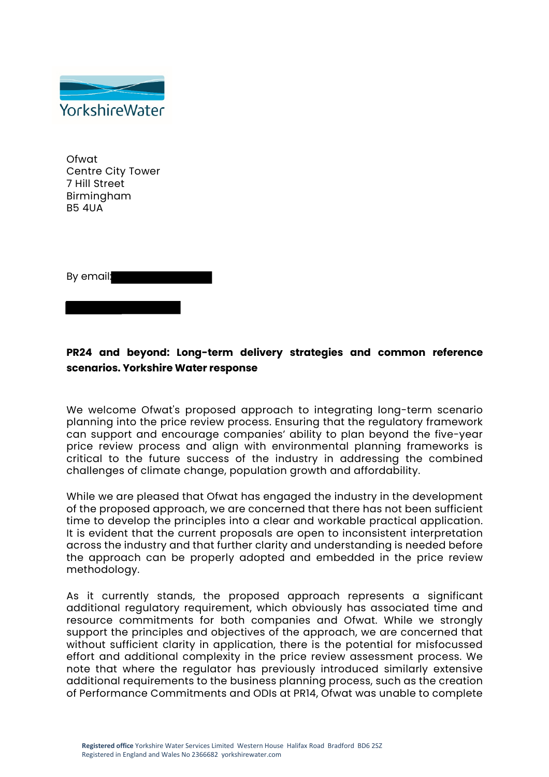

Ofwat Centre City Tower 7 Hill Street Birmingham B5 4UA

By email:

# **PR24 and beyond: Long-term delivery strategies and common reference scenarios. Yorkshire Water response**

We welcome Ofwat's proposed approach to integrating long-term scenario planning into the price review process. Ensuring that the regulatory framework can support and encourage companies' ability to plan beyond the five-year price review process and align with environmental planning frameworks is critical to the future success of the industry in addressing the combined challenges of climate change, population growth and affordability.

While we are pleased that Ofwat has engaged the industry in the development of the proposed approach, we are concerned that there has not been sufficient time to develop the principles into a clear and workable practical application. It is evident that the current proposals are open to inconsistent interpretation across the industry and that further clarity and understanding is needed before the approach can be properly adopted and embedded in the price review methodology.

As it currently stands, the proposed approach represents a significant additional regulatory requirement, which obviously has associated time and resource commitments for both companies and Ofwat. While we strongly support the principles and objectives of the approach, we are concerned that without sufficient clarity in application, there is the potential for misfocussed effort and additional complexity in the price review assessment process. We note that where the regulator has previously introduced similarly extensive additional requirements to the business planning process, such as the creation of Performance Commitments and ODIs at PR14, Ofwat was unable to complete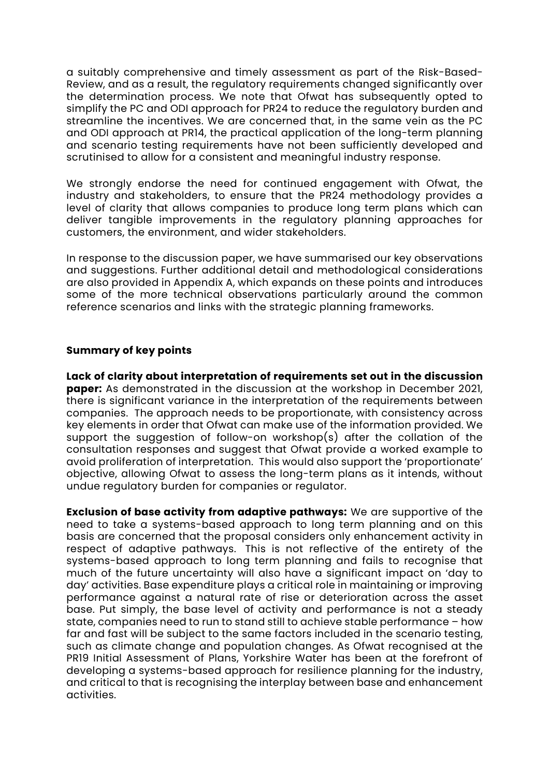a suitably comprehensive and timely assessment as part of the Risk-Based-Review, and as a result, the regulatory requirements changed significantly over the determination process. We note that Ofwat has subsequently opted to simplify the PC and ODI approach for PR24 to reduce the regulatory burden and streamline the incentives. We are concerned that, in the same vein as the PC and ODI approach at PR14, the practical application of the long-term planning and scenario testing requirements have not been sufficiently developed and scrutinised to allow for a consistent and meaningful industry response.

We strongly endorse the need for continued engagement with Ofwat, the industry and stakeholders, to ensure that the PR24 methodology provides a level of clarity that allows companies to produce long term plans which can deliver tangible improvements in the regulatory planning approaches for customers, the environment, and wider stakeholders.

In response to the discussion paper, we have summarised our key observations and suggestions. Further additional detail and methodological considerations are also provided in Appendix A, which expands on these points and introduces some of the more technical observations particularly around the common reference scenarios and links with the strategic planning frameworks.

### **Summary of key points**

**Lack of clarity about interpretation of requirements set out in the discussion paper:** As demonstrated in the discussion at the workshop in December 2021, there is significant variance in the interpretation of the requirements between companies. The approach needs to be proportionate, with consistency across key elements in order that Ofwat can make use of the information provided. We support the suggestion of follow-on workshop(s) after the collation of the consultation responses and suggest that Ofwat provide a worked example to avoid proliferation of interpretation. This would also support the 'proportionate' objective, allowing Ofwat to assess the long-term plans as it intends, without undue regulatory burden for companies or regulator.

**Exclusion of base activity from adaptive pathways:** We are supportive of the need to take a systems-based approach to long term planning and on this basis are concerned that the proposal considers only enhancement activity in respect of adaptive pathways. This is not reflective of the entirety of the systems-based approach to long term planning and fails to recognise that much of the future uncertainty will also have a significant impact on 'day to day' activities. Base expenditure plays a critical role in maintaining or improving performance against a natural rate of rise or deterioration across the asset base. Put simply, the base level of activity and performance is not a steady state, companies need to run to stand still to achieve stable performance – how far and fast will be subject to the same factors included in the scenario testing, such as climate change and population changes. As Ofwat recognised at the PR19 Initial Assessment of Plans, Yorkshire Water has been at the forefront of developing a systems-based approach for resilience planning for the industry, and critical to that is recognising the interplay between base and enhancement activities.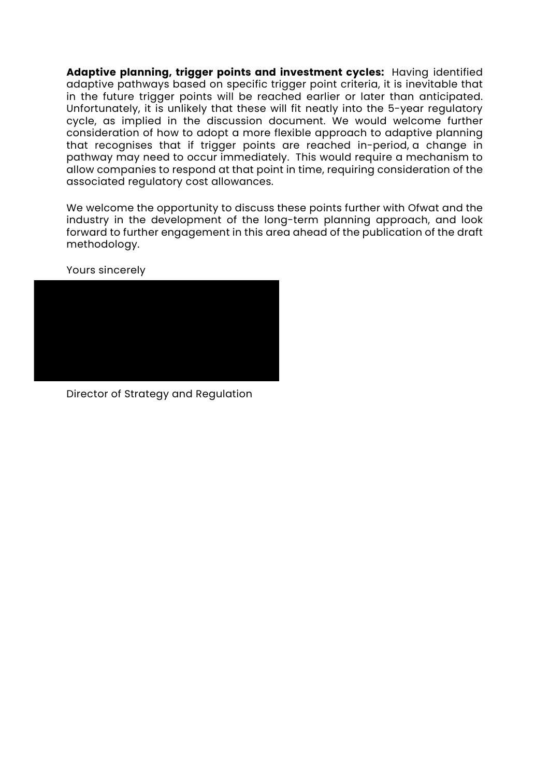**Adaptive planning, trigger points and investment cycles:** Having identified adaptive pathways based on specific trigger point criteria, it is inevitable that in the future trigger points will be reached earlier or later than anticipated. Unfortunately, it is unlikely that these will fit neatly into the 5-year regulatory cycle, as implied in the discussion document. We would welcome further consideration of how to adopt a more flexible approach to adaptive planning that recognises that if trigger points are reached in-period, a change in pathway may need to occur immediately. This would require a mechanism to allow companies to respond at that point in time, requiring consideration of the associated regulatory cost allowances.

We welcome the opportunity to discuss these points further with Ofwat and the industry in the development of the long-term planning approach, and look forward to further engagement in this area ahead of the publication of the draft methodology.

Yours sincerely



Director of Strategy and Regulation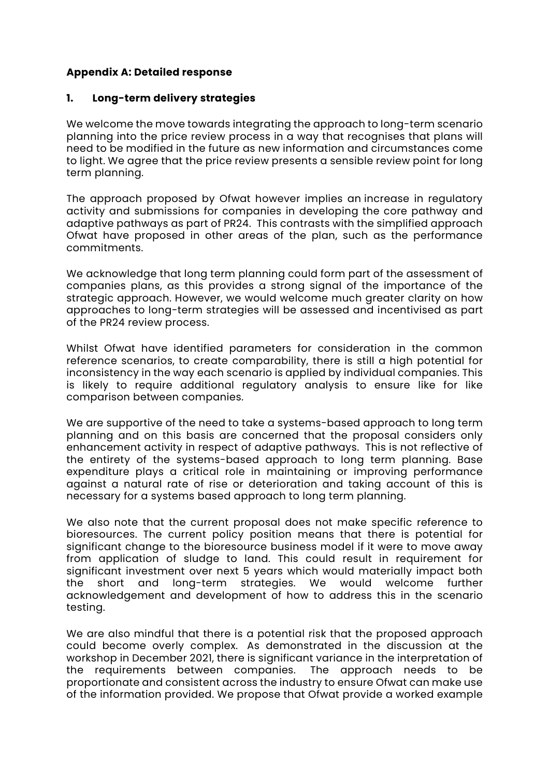## **Appendix A: Detailed response**

#### **1. Long-term delivery strategies**

We welcome the move towards integrating the approach to long-term scenario planning into the price review process in a way that recognises that plans will need to be modified in the future as new information and circumstances come to light. We agree that the price review presents a sensible review point for long term planning.

The approach proposed by Ofwat however implies an increase in regulatory activity and submissions for companies in developing the core pathway and adaptive pathways as part of PR24. This contrasts with the simplified approach Ofwat have proposed in other areas of the plan, such as the performance commitments.

We acknowledge that long term planning could form part of the assessment of companies plans, as this provides a strong signal of the importance of the strategic approach. However, we would welcome much greater clarity on how approaches to long-term strategies will be assessed and incentivised as part of the PR24 review process.

Whilst Ofwat have identified parameters for consideration in the common reference scenarios, to create comparability, there is still a high potential for inconsistency in the way each scenario is applied by individual companies. This is likely to require additional regulatory analysis to ensure like for like comparison between companies.

We are supportive of the need to take a systems-based approach to long term planning and on this basis are concerned that the proposal considers only enhancement activity in respect of adaptive pathways. This is not reflective of the entirety of the systems-based approach to long term planning. Base expenditure plays a critical role in maintaining or improving performance against a natural rate of rise or deterioration and taking account of this is necessary for a systems based approach to long term planning.

We also note that the current proposal does not make specific reference to bioresources. The current policy position means that there is potential for significant change to the bioresource business model if it were to move away from application of sludge to land. This could result in requirement for significant investment over next 5 years which would materially impact both the short and long-term strategies. We would welcome further acknowledgement and development of how to address this in the scenario testing.

We are also mindful that there is a potential risk that the proposed approach could become overly complex. As demonstrated in the discussion at the workshop in December 2021, there is significant variance in the interpretation of the requirements between companies. The approach needs to be proportionate and consistent across the industry to ensure Ofwat can make use of the information provided. We propose that Ofwat provide a worked example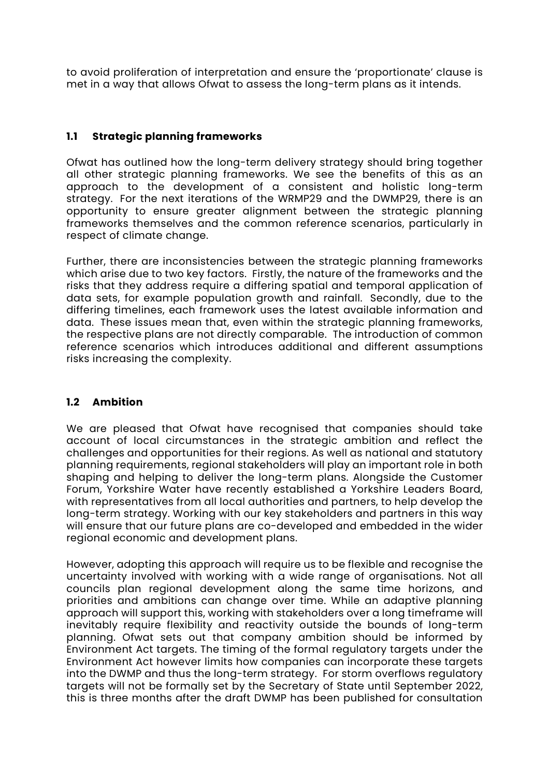to avoid proliferation of interpretation and ensure the 'proportionate' clause is met in a way that allows Ofwat to assess the long-term plans as it intends.

## **1.1 Strategic planning frameworks**

Ofwat has outlined how the long-term delivery strategy should bring together all other strategic planning frameworks. We see the benefits of this as an approach to the development of a consistent and holistic long-term strategy. For the next iterations of the WRMP29 and the DWMP29, there is an opportunity to ensure greater alignment between the strategic planning frameworks themselves and the common reference scenarios, particularly in respect of climate change.

Further, there are inconsistencies between the strategic planning frameworks which arise due to two key factors. Firstly, the nature of the frameworks and the risks that they address require a differing spatial and temporal application of data sets, for example population growth and rainfall. Secondly, due to the differing timelines, each framework uses the latest available information and data. These issues mean that, even within the strategic planning frameworks, the respective plans are not directly comparable. The introduction of common reference scenarios which introduces additional and different assumptions risks increasing the complexity.

### **1.2 Ambition**

We are pleased that Ofwat have recognised that companies should take account of local circumstances in the strategic ambition and reflect the challenges and opportunities for their regions. As well as national and statutory planning requirements, regional stakeholders will play an important role in both shaping and helping to deliver the long-term plans. Alongside the Customer Forum, Yorkshire Water have recently established a Yorkshire Leaders Board, with representatives from all local authorities and partners, to help develop the long-term strategy. Working with our key stakeholders and partners in this way will ensure that our future plans are co-developed and embedded in the wider regional economic and development plans.

However, adopting this approach will require us to be flexible and recognise the uncertainty involved with working with a wide range of organisations. Not all councils plan regional development along the same time horizons, and priorities and ambitions can change over time. While an adaptive planning approach will support this, working with stakeholders over a long timeframe will inevitably require flexibility and reactivity outside the bounds of long-term planning. Ofwat sets out that company ambition should be informed by Environment Act targets. The timing of the formal regulatory targets under the Environment Act however limits how companies can incorporate these targets into the DWMP and thus the long-term strategy. For storm overflows regulatory targets will not be formally set by the Secretary of State until September 2022, this is three months after the draft DWMP has been published for consultation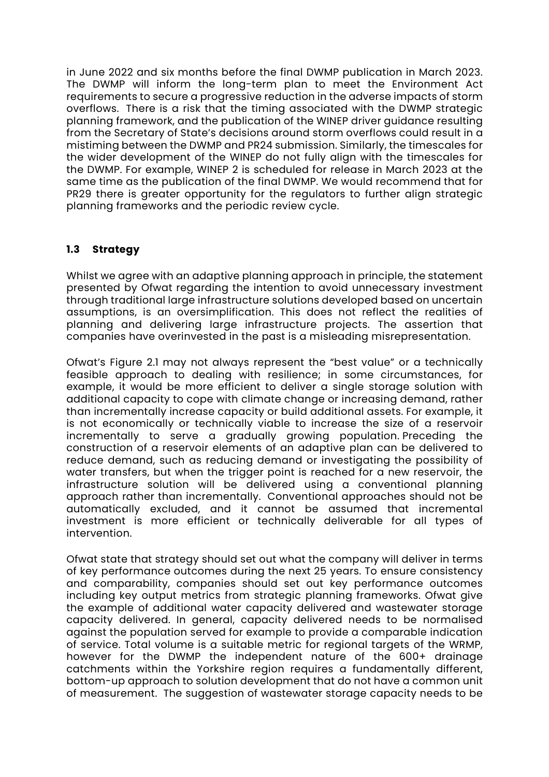in June 2022 and six months before the final DWMP publication in March 2023. The DWMP will inform the long-term plan to meet the Environment Act requirements to secure a progressive reduction in the adverse impacts of storm overflows. There is a risk that the timing associated with the DWMP strategic planning framework, and the publication of the WINEP driver guidance resulting from the Secretary of State's decisions around storm overflows could result in a mistiming between the DWMP and PR24 submission. Similarly, the timescales for the wider development of the WINEP do not fully align with the timescales for the DWMP. For example, WINEP 2 is scheduled for release in March 2023 at the same time as the publication of the final DWMP. We would recommend that for PR29 there is greater opportunity for the regulators to further align strategic planning frameworks and the periodic review cycle.

## **1.3 Strategy**

Whilst we agree with an adaptive planning approach in principle, the statement presented by Ofwat regarding the intention to avoid unnecessary investment through traditional large infrastructure solutions developed based on uncertain assumptions, is an oversimplification. This does not reflect the realities of planning and delivering large infrastructure projects. The assertion that companies have overinvested in the past is a misleading misrepresentation.

Ofwat's Figure 2.1 may not always represent the "best value" or a technically feasible approach to dealing with resilience; in some circumstances, for example, it would be more efficient to deliver a single storage solution with additional capacity to cope with climate change or increasing demand, rather than incrementally increase capacity or build additional assets. For example, it is not economically or technically viable to increase the size of a reservoir incrementally to serve a gradually growing population. Preceding the construction of a reservoir elements of an adaptive plan can be delivered to reduce demand, such as reducing demand or investigating the possibility of water transfers, but when the trigger point is reached for a new reservoir, the infrastructure solution will be delivered using a conventional planning approach rather than incrementally. Conventional approaches should not be automatically excluded, and it cannot be assumed that incremental investment is more efficient or technically deliverable for all types of intervention.

Ofwat state that strategy should set out what the company will deliver in terms of key performance outcomes during the next 25 years. To ensure consistency and comparability, companies should set out key performance outcomes including key output metrics from strategic planning frameworks. Ofwat give the example of additional water capacity delivered and wastewater storage capacity delivered. In general, capacity delivered needs to be normalised against the population served for example to provide a comparable indication of service. Total volume is a suitable metric for regional targets of the WRMP, however for the DWMP the independent nature of the 600+ drainage catchments within the Yorkshire region requires a fundamentally different, bottom-up approach to solution development that do not have a common unit of measurement. The suggestion of wastewater storage capacity needs to be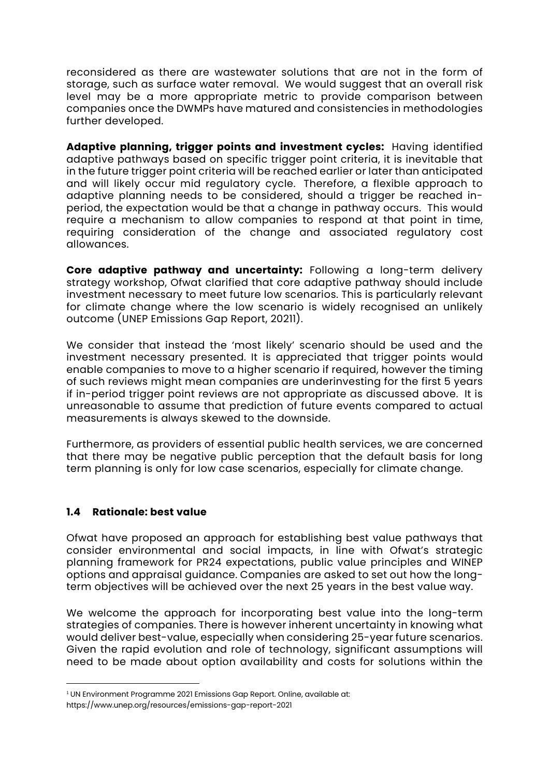reconsidered as there are wastewater solutions that are not in the form of storage, such as surface water removal. We would suggest that an overall risk level may be a more appropriate metric to provide comparison between companies once the DWMPs have matured and consistencies in methodologies further developed.

**Adaptive planning, trigger points and investment cycles:** Having identified adaptive pathways based on specific trigger point criteria, it is inevitable that in the future trigger point criteria will be reached earlier or later than anticipated and will likely occur mid regulatory cycle. Therefore, a flexible approach to adaptive planning needs to be considered, should a trigger be reached inperiod, the expectation would be that a change in pathway occurs. This would require a mechanism to allow companies to respond at that point in time, requiring consideration of the change and associated regulatory cost allowances.

**Core adaptive pathway and uncertainty:** Following a long-term delivery strategy workshop, Ofwat clarified that core adaptive pathway should include investment necessary to meet future low scenarios. This is particularly relevant for climate change where the low scenario is widely recognised an unlikely outcome (UNEP Emissions Gap Report, 20211).

We consider that instead the 'most likely' scenario should be used and the investment necessary presented. It is appreciated that trigger points would enable companies to move to a higher scenario if required, however the timing of such reviews might mean companies are underinvesting for the first 5 years if in-period trigger point reviews are not appropriate as discussed above. It is unreasonable to assume that prediction of future events compared to actual measurements is always skewed to the downside.

Furthermore, as providers of essential public health services, we are concerned that there may be negative public perception that the default basis for long term planning is only for low case scenarios, especially for climate change.

### **1.4 Rationale: best value**

Ofwat have proposed an approach for establishing best value pathways that consider environmental and social impacts, in line with Ofwat's strategic planning framework for PR24 expectations, public value principles and WINEP options and appraisal guidance. Companies are asked to set out how the longterm objectives will be achieved over the next 25 years in the best value way.

We welcome the approach for incorporating best value into the long-term strategies of companies. There is however inherent uncertainty in knowing what would deliver best-value, especially when considering 25-year future scenarios. Given the rapid evolution and role of technology, significant assumptions will need to be made about option availability and costs for solutions within the

<sup>&</sup>lt;sup>1</sup> UN Environment Programme 2021 Emissions Gap Report. Online, available at:

https://www.unep.org/resources/emissions-gap-report-2021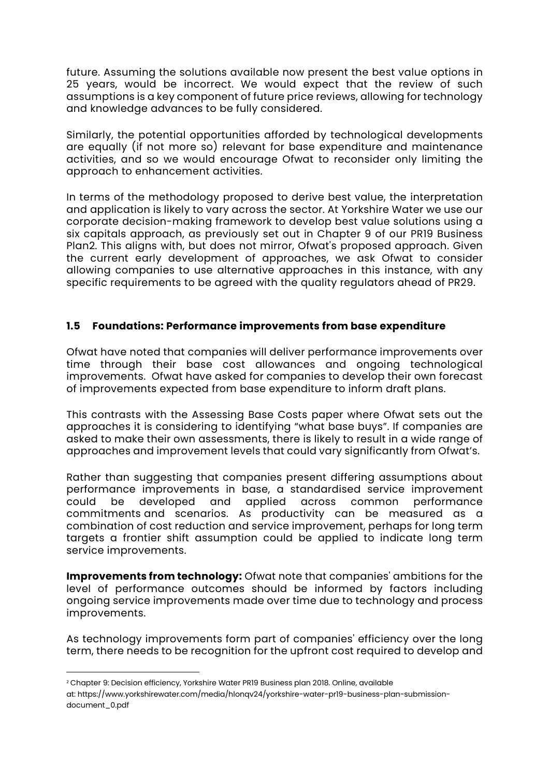future. Assuming the solutions available now present the best value options in 25 years, would be incorrect. We would expect that the review of such assumptions is a key component of future price reviews, allowing for technology and knowledge advances to be fully considered.

Similarly, the potential opportunities afforded by technological developments are equally (if not more so) relevant for base expenditure and maintenance activities, and so we would encourage Ofwat to reconsider only limiting the approach to enhancement activities.

In terms of the methodology proposed to derive best value, the interpretation and application is likely to vary across the sector. At Yorkshire Water we use our corporate decision-making framework to develop best value solutions using a six capitals approach, as previously set out in Chapter 9 of our PR19 Business Plan2. This aligns with, but does not mirror, Ofwat's proposed approach. Given the current early development of approaches, we ask Ofwat to consider allowing companies to use alternative approaches in this instance, with any specific requirements to be agreed with the quality regulators ahead of PR29.

## **1.5 Foundations: Performance improvements from base expenditure**

Ofwat have noted that companies will deliver performance improvements over time through their base cost allowances and ongoing technological improvements. Ofwat have asked for companies to develop their own forecast of improvements expected from base expenditure to inform draft plans.

This contrasts with the Assessing Base Costs paper where Ofwat sets out the approaches it is considering to identifying "what base buys". If companies are asked to make their own assessments, there is likely to result in a wide range of approaches and improvement levels that could vary significantly from Ofwat's.

Rather than suggesting that companies present differing assumptions about performance improvements in base, a standardised service improvement could be developed and applied across common performance commitments and scenarios. As productivity can be measured as a combination of cost reduction and service improvement, perhaps for long term targets a frontier shift assumption could be applied to indicate long term service improvements.

**Improvements from technology:** Ofwat note that companies' ambitions for the level of performance outcomes should be informed by factors including ongoing service improvements made over time due to technology and process improvements.

As technology improvements form part of companies' efficiency over the long term, there needs to be recognition for the upfront cost required to develop and

<sup>2</sup> Chapter 9: Decision efficiency, Yorkshire Water PR19 Business plan 2018. Online, available at: https://www.yorkshirewater.com/media/hlonqv24/yorkshire-water-pr19-business-plan-submissiondocument\_0.pdf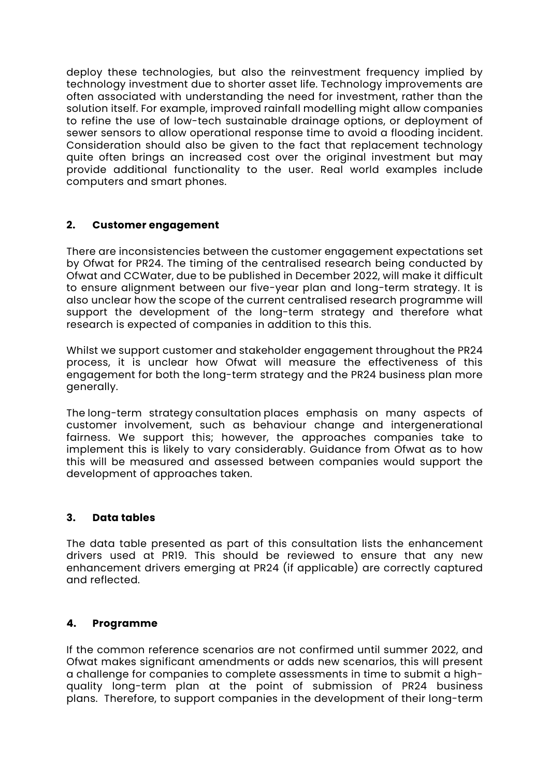deploy these technologies, but also the reinvestment frequency implied by technology investment due to shorter asset life. Technology improvements are often associated with understanding the need for investment, rather than the solution itself. For example, improved rainfall modelling might allow companies to refine the use of low-tech sustainable drainage options, or deployment of sewer sensors to allow operational response time to avoid a flooding incident. Consideration should also be given to the fact that replacement technology quite often brings an increased cost over the original investment but may provide additional functionality to the user. Real world examples include computers and smart phones.

## **2. Customer engagement**

There are inconsistencies between the customer engagement expectations set by Ofwat for PR24. The timing of the centralised research being conducted by Ofwat and CCWater, due to be published in December 2022, will make it difficult to ensure alignment between our five-year plan and long-term strategy. It is also unclear how the scope of the current centralised research programme will support the development of the long-term strategy and therefore what research is expected of companies in addition to this this.

Whilst we support customer and stakeholder engagement throughout the PR24 process, it is unclear how Ofwat will measure the effectiveness of this engagement for both the long-term strategy and the PR24 business plan more generally.

The long-term strategy consultation places emphasis on many aspects of customer involvement, such as behaviour change and intergenerational fairness. We support this; however, the approaches companies take to implement this is likely to vary considerably. Guidance from Ofwat as to how this will be measured and assessed between companies would support the development of approaches taken.

# **3. Data tables**

The data table presented as part of this consultation lists the enhancement drivers used at PR19. This should be reviewed to ensure that any new enhancement drivers emerging at PR24 (if applicable) are correctly captured and reflected.

### **4. Programme**

If the common reference scenarios are not confirmed until summer 2022, and Ofwat makes significant amendments or adds new scenarios, this will present a challenge for companies to complete assessments in time to submit a highquality long-term plan at the point of submission of PR24 business plans. Therefore, to support companies in the development of their long-term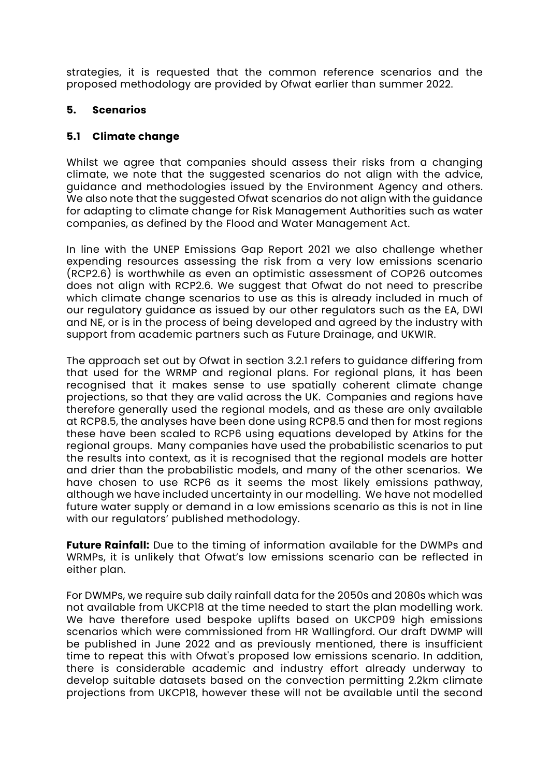strategies, it is requested that the common reference scenarios and the proposed methodology are provided by Ofwat earlier than summer 2022.

### **5. Scenarios**

### **5.1 Climate change**

Whilst we agree that companies should assess their risks from a changing climate, we note that the suggested scenarios do not align with the advice, guidance and methodologies issued by the Environment Agency and others. We also note that the suggested Ofwat scenarios do not align with the guidance for adapting to climate change for Risk Management Authorities such as water companies, as defined by the Flood and Water Management Act.

In line with the UNEP Emissions Gap Report 2021 we also challenge whether expending resources assessing the risk from a very low emissions scenario (RCP2.6) is worthwhile as even an optimistic assessment of COP26 outcomes does not align with RCP2.6. We suggest that Ofwat do not need to prescribe which climate change scenarios to use as this is already included in much of our regulatory guidance as issued by our other regulators such as the EA, DWI and NE, or is in the process of being developed and agreed by the industry with support from academic partners such as Future Drainage, and UKWIR.

The approach set out by Ofwat in section 3.2.1 refers to guidance differing from that used for the WRMP and regional plans. For regional plans, it has been recognised that it makes sense to use spatially coherent climate change projections, so that they are valid across the UK. Companies and regions have therefore generally used the regional models, and as these are only available at RCP8.5, the analyses have been done using RCP8.5 and then for most regions these have been scaled to RCP6 using equations developed by Atkins for the regional groups. Many companies have used the probabilistic scenarios to put the results into context, as it is recognised that the regional models are hotter and drier than the probabilistic models, and many of the other scenarios. We have chosen to use RCP6 as it seems the most likely emissions pathway, although we have included uncertainty in our modelling. We have not modelled future water supply or demand in a low emissions scenario as this is not in line with our regulators' published methodology.

**Future Rainfall:** Due to the timing of information available for the DWMPs and WRMPs, it is unlikely that Ofwat's low emissions scenario can be reflected in either plan.

For DWMPs, we require sub daily rainfall data for the 2050s and 2080s which was not available from UKCP18 at the time needed to start the plan modelling work. We have therefore used bespoke uplifts based on UKCP09 high emissions scenarios which were commissioned from HR Wallingford. Our draft DWMP will be published in June 2022 and as previously mentioned, there is insufficient time to repeat this with Ofwat's proposed low emissions scenario. In addition, there is considerable academic and industry effort already underway to develop suitable datasets based on the convection permitting 2.2km climate projections from UKCP18, however these will not be available until the second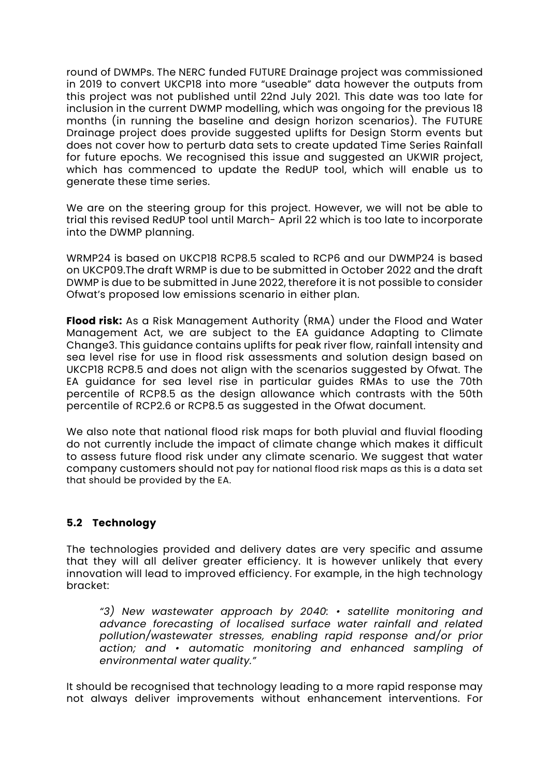round of DWMPs. The NERC funded FUTURE Drainage project was commissioned in 2019 to convert UKCP18 into more "useable" data however the outputs from this project was not published until 22nd July 2021. This date was too late for inclusion in the current DWMP modelling, which was ongoing for the previous 18 months (in running the baseline and design horizon scenarios). The FUTURE Drainage project does provide suggested uplifts for Design Storm events but does not cover how to perturb data sets to create updated Time Series Rainfall for future epochs. We recognised this issue and suggested an UKWIR project, which has commenced to update the RedUP tool, which will enable us to generate these time series.

We are on the steering group for this project. However, we will not be able to trial this revised RedUP tool until March- April 22 which is too late to incorporate into the DWMP planning.

WRMP24 is based on UKCP18 RCP8.5 scaled to RCP6 and our DWMP24 is based on UKCP09.The draft WRMP is due to be submitted in October 2022 and the draft DWMP is due to be submitted in June 2022, therefore it is not possible to consider Ofwat's proposed low emissions scenario in either plan.

**Flood risk:** As a Risk Management Authority (RMA) under the Flood and Water Management Act, we are subject to the EA guidance Adapting to Climate Change3. This guidance contains uplifts for peak river flow, rainfall intensity and sea level rise for use in flood risk assessments and solution design based on UKCP18 RCP8.5 and does not align with the scenarios suggested by Ofwat. The EA guidance for sea level rise in particular guides RMAs to use the 70th percentile of RCP8.5 as the design allowance which contrasts with the 50th percentile of RCP2.6 or RCP8.5 as suggested in the Ofwat document.

We also note that national flood risk maps for both pluvial and fluvial flooding do not currently include the impact of climate change which makes it difficult to assess future flood risk under any climate scenario. We suggest that water company customers should not pay for national flood risk maps as this is a data set that should be provided by the EA.

# **5.2 Technology**

The technologies provided and delivery dates are very specific and assume that they will all deliver greater efficiency. It is however unlikely that every innovation will lead to improved efficiency. For example, in the high technology bracket:

*"3) New wastewater approach by 2040: • satellite monitoring and advance forecasting of localised surface water rainfall and related pollution/wastewater stresses, enabling rapid response and/or prior action; and • automatic monitoring and enhanced sampling of environmental water quality."* 

It should be recognised that technology leading to a more rapid response may not always deliver improvements without enhancement interventions. For